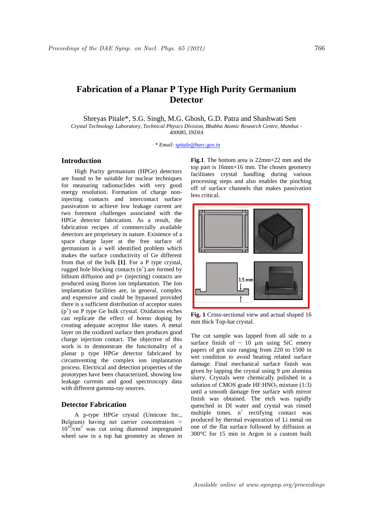# **Fabrication of a Planar P Type High Purity Germanium Detector**

Shreyas Pitale\*, S.G. Singh, M.G. Ghosh, G.D. Patra and Shashwati Sen *Crystal Technology Laboratory, Technical Physics Division, Bhabha Atomic Research Centre, Mumbai - 400085, INDIA*

*. \* Email: spitale@barc.gov.in*

# **Introduction**

High Purity germanium (HPGe) detectors are found to be suitable for nuclear techniques for measuring radionuclides with very good energy resolution. Formation of charge noninjecting contacts and intercontact surface passivation to achieve low leakage current are two foremost challenges associated with the HPGe detector fabrication. As a result, the fabrication recipes of commercially available detectors are proprietary in nature. Existence of a space charge layer at the free surface of germanium is a well identified problem which makes the surface conductivity of Ge different from that of the bulk **[1]**. For a P type crystal, rugged hole blocking contacts  $(n^+)$  are formed by lithium diffusion and p+ (injecting) contacts are produced using Boron ion implantation. The Ion implantation facilities are, in general, complex and expensive and could be bypassed provided there is a sufficient distribution of acceptor states (p<sup>+</sup> ) on P type Ge bulk crystal. Oxidation etches can replicate the effect of boron doping by creating adequate acceptor like states. A metal layer on the oxidized surface then produces good charge injection contact. The objective of this work is to demonstrate the functionality of a planar p type HPGe detector fabricated by circumventing the complex ion implantation process. Electrical and detection properties of the prototypes have been characterized, showing low leakage currents and good spectroscopy data with different gamma-ray sources.

#### **Detector Fabrication**

A p-type HPGe crystal (Umicore Inc., Belgium) having net carrier concentration  $\approx$  $10^{10}$ /cm<sup>3</sup> was cut using diamond impregnated wheel saw in a top hat geometry as shown in **Fig.1**. The bottom area is 22mm×22 mm and the top part is 16mm×16 mm. The chosen geometry facilitates crystal handling during various processing steps and also enables the pinching off of surface channels that makes passivation less critical.



**Fig. 1** Cross-sectional view and actual shaped 16 mm thick Top-hat crystal.

The cut sample was lapped from all side to a surface finish of  $\sim 10$  µm using SiC emery papers of grit size ranging from 220 to 1500 in wet condition to avoid heating related surface damage. Final mechanical surface finish was given by lapping the crystal using 9 um alumina slurry. Crystals were chemically polished in a solution of CMOS grade  $HF: HNO<sub>3</sub>$  mixture (1:3) until a smooth damage free surface with mirror finish was obtained. The etch was rapidly quenched in DI water and crystal was rinsed multiple times.  $n^+$  rectifying contact was produced by thermal evaporation of Li metal on one of the flat surface followed by diffusion at 300°C for 15 min in Argon in a custom built